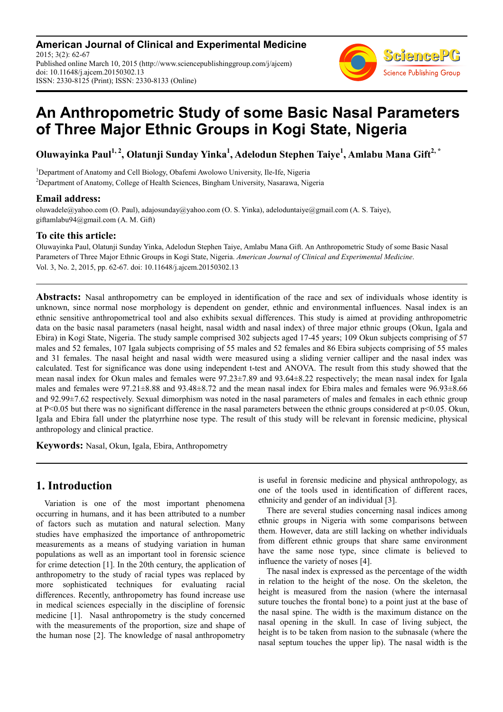**American Journal of Clinical and Experimental Medicine** 2015; 3(2): 62-67 Published online March 10, 2015 (http://www.sciencepublishinggroup.com/j/ajcem) doi: 10.11648/j.ajcem.20150302.13 ISSN: 2330-8125 (Print); ISSN: 2330-8133 (Online)



# **An Anthropometric Study of some Basic Nasal Parameters of Three Major Ethnic Groups in Kogi State, Nigeria**

**Oluwayinka Paul1, 2, Olatunji Sunday Yinka<sup>1</sup> , Adelodun Stephen Taiye<sup>1</sup> , Amlabu Mana Gift2, \***

<sup>1</sup>Department of Anatomy and Cell Biology, Obafemi Awolowo University, Ile-Ife, Nigeria <sup>2</sup>Department of Anatomy, College of Health Sciences, Bingham University, Nasarawa, Nigeria

# **Email address:**

oluwadele@yahoo.com (O. Paul), adajosunday@yahoo.com (O. S. Yinka), adeloduntaiye@gmail.com (A. S. Taiye), giftamlabu94@gmail.com (A. M. Gift)

### **To cite this article:**

Oluwayinka Paul, Olatunji Sunday Yinka, Adelodun Stephen Taiye, Amlabu Mana Gift. An Anthropometric Study of some Basic Nasal Parameters of Three Major Ethnic Groups in Kogi State, Nigeria. *American Journal of Clinical and Experimental Medicine*. Vol. 3, No. 2, 2015, pp. 62-67. doi: 10.11648/j.ajcem.20150302.13

**Abstracts:** Nasal anthropometry can be employed in identification of the race and sex of individuals whose identity is unknown, since normal nose morphology is dependent on gender, ethnic and environmental influences. Nasal index is an ethnic sensitive anthropometrical tool and also exhibits sexual differences. This study is aimed at providing anthropometric data on the basic nasal parameters (nasal height, nasal width and nasal index) of three major ethnic groups (Okun, Igala and Ebira) in Kogi State, Nigeria. The study sample comprised 302 subjects aged 17-45 years; 109 Okun subjects comprising of 57 males and 52 females, 107 Igala subjects comprising of 55 males and 52 females and 86 Ebira subjects comprising of 55 males and 31 females. The nasal height and nasal width were measured using a sliding vernier calliper and the nasal index was calculated. Test for significance was done using independent t-test and ANOVA. The result from this study showed that the mean nasal index for Okun males and females were 97.23±7.89 and 93.64±8.22 respectively; the mean nasal index for Igala males and females were 97.21±8.88 and 93.48±8.72 and the mean nasal index for Ebira males and females were 96.93±8.66 and 92.99±7.62 respectively. Sexual dimorphism was noted in the nasal parameters of males and females in each ethnic group at P<0.05 but there was no significant difference in the nasal parameters between the ethnic groups considered at  $p<0.05$ . Okun, Igala and Ebira fall under the platyrrhine nose type. The result of this study will be relevant in forensic medicine, physical anthropology and clinical practice.

**Keywords:** Nasal, Okun, Igala, Ebira, Anthropometry

# **1. Introduction**

Variation is one of the most important phenomena occurring in humans, and it has been attributed to a number of factors such as mutation and natural selection. Many studies have emphasized the importance of anthropometric measurements as a means of studying variation in human populations as well as an important tool in forensic science for crime detection [1]. In the 20th century, the application of anthropometry to the study of racial types was replaced by more sophisticated techniques for evaluating racial differences. Recently, anthropometry has found increase use in medical sciences especially in the discipline of forensic medicine [1]. Nasal anthropometry is the study concerned with the measurements of the proportion, size and shape of the human nose [2]. The knowledge of nasal anthropometry is useful in forensic medicine and physical anthropology, as one of the tools used in identification of different races, ethnicity and gender of an individual [3].

There are several studies concerning nasal indices among ethnic groups in Nigeria with some comparisons between them. However, data are still lacking on whether individuals from different ethnic groups that share same environment have the same nose type, since climate is believed to influence the variety of noses [4].

The nasal index is expressed as the percentage of the width in relation to the height of the nose. On the skeleton, the height is measured from the nasion (where the internasal suture touches the frontal bone) to a point just at the base of the nasal spine. The width is the maximum distance on the nasal opening in the skull. In case of living subject, the height is to be taken from nasion to the subnasale (where the nasal septum touches the upper lip). The nasal width is the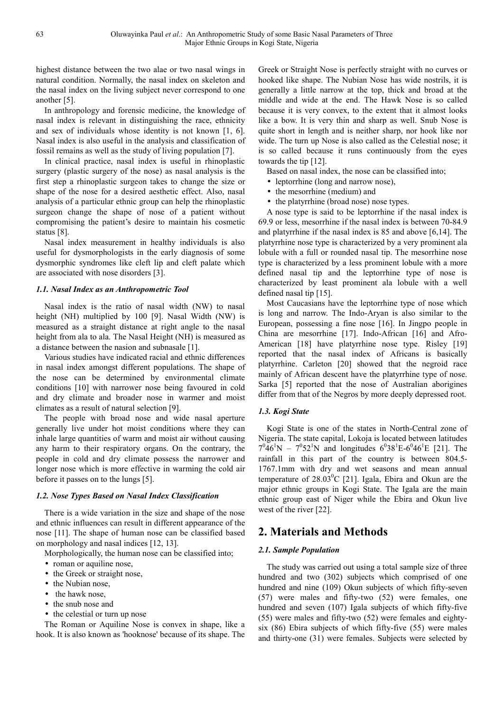highest distance between the two alae or two nasal wings in natural condition. Normally, the nasal index on skeleton and the nasal index on the living subject never correspond to one another [5].

In anthropology and forensic medicine, the knowledge of nasal index is relevant in distinguishing the race, ethnicity and sex of individuals whose identity is not known [1, 6]. Nasal index is also useful in the analysis and classification of fossil remains as well as the study of living population [7].

In clinical practice, nasal index is useful in rhinoplastic surgery (plastic surgery of the nose) as nasal analysis is the first step a rhinoplastic surgeon takes to change the size or shape of the nose for a desired aesthetic effect. Also, nasal analysis of a particular ethnic group can help the rhinoplastic surgeon change the shape of nose of a patient without compromising the patient's desire to maintain his cosmetic status [8].

Nasal index measurement in healthy individuals is also useful for dysmorphologists in the early diagnosis of some dysmorphic syndromes like cleft lip and cleft palate which are associated with nose disorders [3].

### *1.1. Nasal Index as an Anthropometric Tool*

Nasal index is the ratio of nasal width (NW) to nasal height (NH) multiplied by 100 [9]. Nasal Width (NW) is measured as a straight distance at right angle to the nasal height from ala to ala. The Nasal Height (NH) is measured as a distance between the nasion and subnasale [1].

Various studies have indicated racial and ethnic differences in nasal index amongst different populations. The shape of the nose can be determined by environmental climate conditions [10] with narrower nose being favoured in cold and dry climate and broader nose in warmer and moist climates as a result of natural selection [9].

The people with broad nose and wide nasal aperture generally live under hot moist conditions where they can inhale large quantities of warm and moist air without causing any harm to their respiratory organs. On the contrary, the people in cold and dry climate possess the narrower and longer nose which is more effective in warming the cold air before it passes on to the lungs [5].

### *1.2. Nose Types Based on Nasal Index Classification*

There is a wide variation in the size and shape of the nose and ethnic influences can result in different appearance of the nose [11]. The shape of human nose can be classified based on morphology and nasal indices [12, 13].

Morphologically, the human nose can be classified into;

- roman or aquiline nose,
- the Greek or straight nose,
- the Nubian nose,
- the hawk nose,
- the snub nose and
- the celestial or turn up nose

The Roman or Aquiline Nose is convex in shape, like a hook. It is also known as 'hooknose' because of its shape. The Greek or Straight Nose is perfectly straight with no curves or hooked like shape. The Nubian Nose has wide nostrils, it is generally a little narrow at the top, thick and broad at the middle and wide at the end. The Hawk Nose is so called because it is very convex, to the extent that it almost looks like a bow. It is very thin and sharp as well. Snub Nose is quite short in length and is neither sharp, nor hook like nor wide. The turn up Nose is also called as the Celestial nose; it is so called because it runs continuously from the eyes towards the tip [12].

Based on nasal index, the nose can be classified into;

- leptorrhine (long and narrow nose),
- the mesorrhine (medium) and
- the platyrrhine (broad nose) nose types.

A nose type is said to be leptorrhine if the nasal index is 69.9 or less, mesorrhine if the nasal index is between 70-84.9 and platyrrhine if the nasal index is 85 and above [6,14]. The platyrrhine nose type is characterized by a very prominent ala lobule with a full or rounded nasal tip. The mesorrhine nose type is characterized by a less prominent lobule with a more defined nasal tip and the leptorrhine type of nose is characterized by least prominent ala lobule with a well defined nasal tip [15].

Most Caucasians have the leptorrhine type of nose which is long and narrow. The Indo-Aryan is also similar to the European, possessing a fine nose [16]. In Jingpo people in China are mesorrhine [17]. Indo-African [16] and Afro-American [18] have platyrrhine nose type. Risley [19] reported that the nasal index of Africans is basically platyrrhine. Carleton [20] showed that the negroid race mainly of African descent have the platyrrhine type of nose. Sarka [5] reported that the nose of Australian aborigines differ from that of the Negros by more deeply depressed root.

### *1.3. Kogi State*

Kogi State is one of the states in North-Central zone of Nigeria. The state capital, Lokoja is located between latitudes  $7^{0}46^{1}N - 7^{0}52^{1}N$  and longitudes  $6^{0}38^{1}E - 6^{0}46^{1}E$  [21]. The rainfall in this part of the country is between 804.5- 1767.1mm with dry and wet seasons and mean annual temperature of  $28.03^{\circ}$ C [21]. Igala, Ebira and Okun are the major ethnic groups in Kogi State. The Igala are the main ethnic group east of Niger while the Ebira and Okun live west of the river [22].

# **2. Materials and Methods**

### *2.1. Sample Population*

The study was carried out using a total sample size of three hundred and two (302) subjects which comprised of one hundred and nine (109) Okun subjects of which fifty-seven (57) were males and fifty-two (52) were females, one hundred and seven (107) Igala subjects of which fifty-five (55) were males and fifty-two (52) were females and eightysix (86) Ebira subjects of which fifty-five (55) were males and thirty-one (31) were females. Subjects were selected by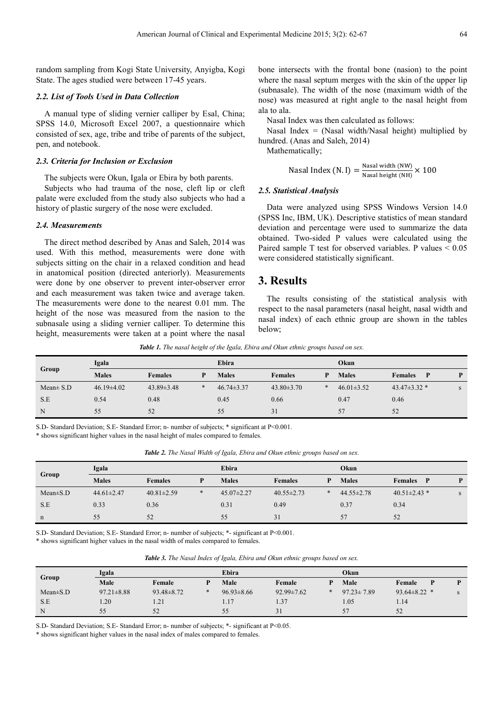random sampling from Kogi State University, Anyigba, Kogi State. The ages studied were between 17-45 years.

#### *2.2. List of Tools Used in Data Collection*

A manual type of sliding vernier calliper by Esal, China; SPSS 14.0, Microsoft Excel 2007, a questionnaire which consisted of sex, age, tribe and tribe of parents of the subject, pen, and notebook.

#### *2.3. Criteria for Inclusion or Exclusion*

The subjects were Okun, Igala or Ebira by both parents.

Subjects who had trauma of the nose, cleft lip or cleft palate were excluded from the study also subjects who had a history of plastic surgery of the nose were excluded.

#### *2.4. Measurements*

The direct method described by Anas and Saleh, 2014 was used. With this method, measurements were done with subjects sitting on the chair in a relaxed condition and head in anatomical position (directed anteriorly). Measurements were done by one observer to prevent inter-observer error and each measurement was taken twice and average taken. The measurements were done to the nearest 0.01 mm. The height of the nose was measured from the nasion to the subnasale using a sliding vernier calliper. To determine this height, measurements were taken at a point where the nasal

bone intersects with the frontal bone (nasion) to the point where the nasal septum merges with the skin of the upper lip (subnasale). The width of the nose (maximum width of the nose) was measured at right angle to the nasal height from ala to ala.

Nasal Index was then calculated as follows:

Nasal Index = (Nasal width/Nasal height) multiplied by hundred. (Anas and Saleh, 2014)

Mathematically;

Nasal Index (N.I) = 
$$
\frac{\text{Nasal width (NW)}}{\text{Nasal height (NH)}} \times 100
$$

#### *2.5. Statistical Analysis*

Data were analyzed using SPSS Windows Version 14.0 (SPSS Inc, IBM, UK). Descriptive statistics of mean standard deviation and percentage were used to summarize the data obtained. Two-sided P values were calculated using the Paired sample T test for observed variables. P values < 0.05 were considered statistically significant.

# **3. Results**

The results consisting of the statistical analysis with respect to the nasal parameters (nasal height, nasal width and nasal index) of each ethnic group are shown in the tables below;

*Table 1. The nasal height of the Igala, Ebira and Okun ethnic groups based on sex.* 

| Group          | Igala            |                  |        | Ebira            |                  |        | Okun             |                     |   |  |
|----------------|------------------|------------------|--------|------------------|------------------|--------|------------------|---------------------|---|--|
|                | <b>Males</b>     | <b>Females</b>   | P      | <b>Males</b>     | <b>Females</b>   | P      | <b>Males</b>     | <b>Females</b><br>P | P |  |
| $Mean \pm S.D$ | $46.19 \pm 4.02$ | $43.89 \pm 3.48$ | $\ast$ | $46.74 \pm 3.37$ | $43.80 \pm 3.70$ | $\ast$ | $46.01 \pm 3.52$ | $43.47 \pm 3.32$ *  | S |  |
| S.E            | 0.54             | 0.48             |        | 0.45             | 0.66             |        | 0.47             | 0.46                |   |  |
| N              | 55               | 52               |        | 55               | 31               |        | 57               | 52                  |   |  |

S.D- Standard Deviation; S.E- Standard Error; n- number of subjects; \* significant at P<0.001.

\* shows significant higher values in the nasal height of males compared to females.

| Table 2. The Nasal Width of Igala, Ebira and Okun ethnic groups based on sex. |  |  |  |  |
|-------------------------------------------------------------------------------|--|--|--|--|
|-------------------------------------------------------------------------------|--|--|--|--|

| Group          | Igala            |                  | Ebira  |                  |                  | Okun   |                  |                     |   |
|----------------|------------------|------------------|--------|------------------|------------------|--------|------------------|---------------------|---|
|                | <b>Males</b>     | <b>Females</b>   | D      | <b>Males</b>     | <b>Females</b>   | D      | <b>Males</b>     | <b>Females</b><br>P | P |
| $Mean \pm S.D$ | $44.61 \pm 2.47$ | $40.81 \pm 2.59$ | $\ast$ | $45.07 \pm 2.27$ | $40.55 \pm 2.73$ | $\ast$ | $44.55 \pm 2.78$ | $40.51 \pm 2.43$ *  | S |
| S.E            | 0.33             | 0.36             |        | 0.31             | 0.49             |        | 0.37             | 0.34                |   |
| n              | 55               | 52               |        | 55               | 31               |        | 57               | 52                  |   |

S.D- Standard Deviation; S.E- Standard Error; n- number of subjects; \*- significant at P<0.001.

\* shows significant higher values in the nasal width of males compared to females.

| Group          | Igala            |                  |        | Ebira            |                  |        | <b>Okun</b>      |                    |  |  |
|----------------|------------------|------------------|--------|------------------|------------------|--------|------------------|--------------------|--|--|
|                | Male             | Female           |        | Male             | Female           |        | Male             | Female             |  |  |
| $Mean \pm S.D$ | $97.21 \pm 8.88$ | $93.48 \pm 8.72$ | $\ast$ | $96.93 \pm 8.66$ | $92.99 \pm 7.62$ | $\ast$ | $97.23 \pm 7.89$ | $93.64 \pm 8.22$ * |  |  |
| S.E            | .20              | 1.21             |        | 1.17             | 1.37             |        | 1.05             | 1.14               |  |  |
| N              | 55               | 52               |        | 55               | 31               |        | 57               | 52                 |  |  |

S.D- Standard Deviation; S.E- Standard Error; n- number of subjects; \*- significant at P<0.05.

\* shows significant higher values in the nasal index of males compared to females.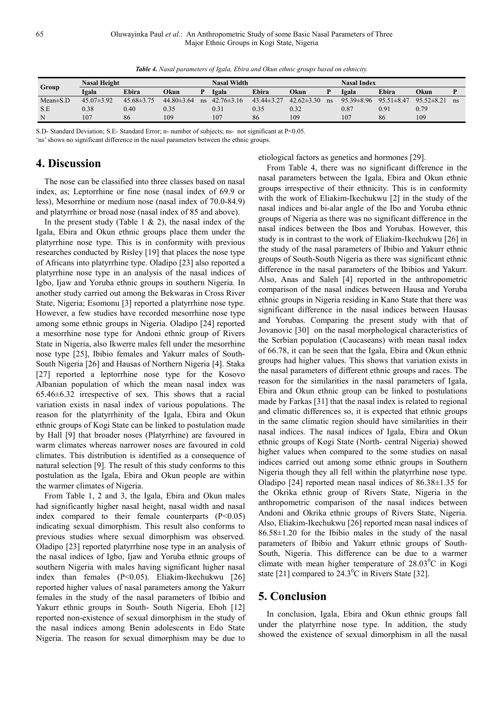*Table 4. Nasal parameters of Igala, Ebira and Okun ethnic groups based on ethnicity.* 

| Group          | <b>Nasal Height</b> |                  |                | Nasal Width |                  |                |                | Nasal Index |                  |                  |                |               |
|----------------|---------------------|------------------|----------------|-------------|------------------|----------------|----------------|-------------|------------------|------------------|----------------|---------------|
|                | Igala               | Ebira            | Okun           |             | Igala            | Ebira          | Okun           |             | Igala            | Ebira            | Okun           |               |
| $Mean \pm S.D$ | $45.07\pm3.92$      | $45.68 \pm 3.75$ | $44.80\pm3.64$ | ns          | $42.76 \pm 3.16$ | $43.44\pm3.27$ | $42.62\pm3.30$ | ns          | $95.39 \pm 8.96$ | $95.51 \pm 8.47$ | $95.52\pm8.21$ | <sub>ns</sub> |
| S.E            | 0.38                | 0.40             | 0.35           |             | 0.31             | 0.35           | 0.32           |             | 0.87             | 0.91             | 0.79           |               |
| N              | 107                 | 86               | 109            |             | 107              | 86             | 109            |             | 107              | 86               | 109            |               |

S.D- Standard Deviation; S.E- Standard Error; n- number of subjects; ns- not significant at P<0.05.

'ns' shows no significant difference in the nasal parameters between the ethnic groups.

# **4. Discussion**

The nose can be classified into three classes based on nasal index, as; Leptorrhine or fine nose (nasal index of 69.9 or less), Mesorrhine or medium nose (nasal index of 70.0-84.9) and platyrrhine or broad nose (nasal index of 85 and above).

In the present study (Table 1  $\&$  2), the nasal index of the Igala, Ebira and Okun ethnic groups place them under the platyrrhine nose type. This is in conformity with previous researches conducted by Risley [19] that places the nose type of Africans into platyrrhine type. Oladipo [23] also reported a platyrrhine nose type in an analysis of the nasal indices of Igbo, Ijaw and Yoruba ethnic groups in southern Nigeria. In another study carried out among the Bekwaras in Cross River State, Nigeria; Esomonu [3] reported a platyrrhine nose type. However, a few studies have recorded mesorrhine nose type among some ethnic groups in Nigeria. Oladipo [24] reported a mesorrhine nose type for Andoni ethnic group of Rivers State in Nigeria, also Ikwerre males fell under the mesorrhine nose type [25], Ibibio females and Yakurr males of South-South Nigeria [26] and Hausas of Northern Nigeria [4]. Staka [27] reported a leptorrhine nose type for the Kosovo Albanian population of which the mean nasal index was 65.46±6.32 irrespective of sex. This shows that a racial variation exists in nasal index of various populations. The reason for the platyrrhinity of the Igala, Ebira and Okun ethnic groups of Kogi State can be linked to postulation made by Hall [9] that broader noses (Platyrrhine) are favoured in warm climates whereas narrower noses are favoured in cold climates. This distribution is identified as a consequence of natural selection [9]. The result of this study conforms to this postulation as the Igala, Ebira and Okun people are within the warmer climates of Nigeria.

From Table 1, 2 and 3, the Igala, Ebira and Okun males had significantly higher nasal height, nasal width and nasal index compared to their female counterparts  $(P<0.05)$ indicating sexual dimorphism. This result also conforms to previous studies where sexual dimorphism was observed. Oladipo [23] reported platyrrhine nose type in an analysis of the nasal indices of Igbo, Ijaw and Yoruba ethnic groups of southern Nigeria with males having significant higher nasal index than females (P<0.05). Eliakim-Ikechukwu [26] reported higher values of nasal parameters among the Yakurr females in the study of the nasal parameters of Ibibio and Yakurr ethnic groups in South- South Nigeria. Eboh [12] reported non-existence of sexual dimorphism in the study of the nasal indices among Benin adolescents in Edo State Nigeria. The reason for sexual dimorphism may be due to

etiological factors as genetics and hormones [29].

From Table 4, there was no significant difference in the nasal parameters between the Igala, Ebira and Okun ethnic groups irrespective of their ethnicity. This is in conformity with the work of Eliakim-Ikechukwu [2] in the study of the nasal indices and bi-alar angle of the Ibo and Yoruba ethnic groups of Nigeria as there was no significant difference in the nasal indices between the Ibos and Yorubas. However, this study is in contrast to the work of Eliakim-Ikechukwu [26] in the study of the nasal parameters of Ibibio and Yakurr ethnic groups of South-South Nigeria as there was significant ethnic difference in the nasal parameters of the Ibibios and Yakurr. Also, Anas and Saleh [4] reported in the anthropometric comparison of the nasal indices between Hausa and Yoruba ethnic groups in Nigeria residing in Kano State that there was significant difference in the nasal indices between Hausas and Yorubas. Comparing the present study with that of Jovanovic [30] on the nasal morphological characteristics of the Serbian population (Caucaseans) with mean nasal index of 66.78, it can be seen that the Igala, Ebira and Okun ethnic groups had higher values. This shows that variation exists in the nasal parameters of different ethnic groups and races. The reason for the similarities in the nasal parameters of Igala, Ebira and Okun ethnic group can be linked to postulations made by Farkas [31] that the nasal index is related to regional and climatic differences so, it is expected that ethnic groups in the same climatic region should have similarities in their nasal indices. The nasal indices of Igala, Ebira and Okun ethnic groups of Kogi State (North- central Nigeria) showed higher values when compared to the some studies on nasal indices carried out among some ethnic groups in Southern Nigeria though they all fell within the platyrrhine nose type. Oladipo [24] reported mean nasal indices of 86.38±1.35 for the Okrika ethnic group of Rivers State, Nigeria in the anthropometric comparison of the nasal indices between Andoni and Okrika ethnic groups of Rivers State, Nigeria. Also, Eliakim-Ikechukwu [26] reported mean nasal indices of  $86.58\pm1.20$  for the Ibibio males in the study of the nasal parameters of Ibibio and Yakurr ethnic groups of South-South, Nigeria. This difference can be due to a warmer climate with mean higher temperature of  $28.03^{\circ}$ C in Kogi state [21] compared to  $24.3^{\circ}$ C in Rivers State [32].

# **5. Conclusion**

In conclusion, Igala, Ebira and Okun ethnic groups fall under the platyrrhine nose type. In addition, the study showed the existence of sexual dimorphism in all the nasal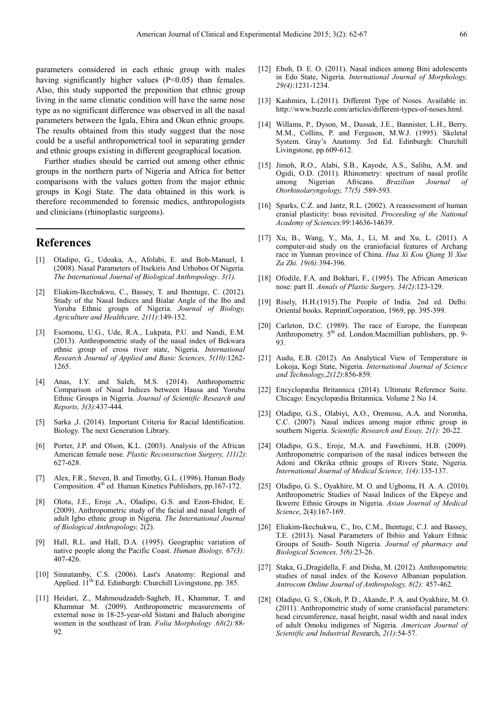parameters considered in each ethnic group with males having significantly higher values (P<0.05) than females. Also, this study supported the preposition that ethnic group living in the same climatic condition will have the same nose type as no significant difference was observed in all the nasal parameters between the Igala, Ebira and Okun ethnic groups. The results obtained from this study suggest that the nose could be a useful anthropometrical tool in separating gender and ethnic groups existing in different geographical location.

Further studies should be carried out among other ethnic groups in the northern parts of Nigeria and Africa for better comparisons with the values gotten from the major ethnic groups in Kogi State. The data obtained in this work is therefore recommended to forensic medics, anthropologists and clinicians (rhinoplastic surgeons).

# **References**

- [1] Oladipo, G., Udoaka, A., Afolabi, E. and Bob-Manuel, I. (2008). Nasal Parameters of Itsekiris And Urhobos Of Nigeria*. The International Journal of Biological Anthropology*. *3(1).*
- [2] Eliakim-Ikechukwu, C., Bassey, T. and Ihentuge, C. (2012). Study of the Nasal Indices and Bialar Angle of the Ibo and Yoruba Ethnic groups of Nigeria. *Journal of Biology, Agriculture and Healthcare, 2(11)*:149-152.
- [3] Esomonu, U.G., Ude, R.A., Lukpata, P.U. and Nandi, E.M. (2013). Anthropometric study of the nasal index of Bekwara ethnic group of cross river state, Nigeria. *International Research Journal of Applied and Basic Sciences, 5(10)*:1262- 1265.
- [4] Anas, I.Y. and Saleh, M.S. (2014). Anthropometric Comparison of Nasal Indices between Hausa and Yoruba Ethnic Groups in Nigeria. *Journal of Scientific Research and Reports, 3(3)*:437-444.
- [5] Sarka ,J. (2014). Important Criteria for Racial Identification. Biology. The next Generation Library.
- [6] Porter, J.P. and Olson, K.L. (2003). Analysis of the African American female nose. *Plastic Reconstruction Surgery, 111(2)*: 627-628.
- [7] Alex, F.R., Steven, B. and Timothy, G.L. (1996). Human Body Composition. 4th ed. Human Kinetics Publishers, pp.167-172.
- [8] Olotu, J.E., Eroje ,A., Oladipo, G.S. and Ezon-Ebidor, E. (2009). Anthropometric study of the facial and nasal length of adult Igbo ethnic group in Nigeria*. The International Journal of Biological Anthropology,* 2(2).
- [9] Hall, R.L. and Hall, D.A. (1995). Geographic variation of native people along the Pacific Coast. *Human Biology, 67(3):* 407-426.
- [10] Sinnatamby, C.S. (2006). Last's Anatomy: Regional and Applied. 11<sup>th</sup> Ed. Edinburgh: Churchill Livingstone, pp. 385.
- [11] Heidari, Z., Mahmoudzadeh-Sagheb, H., Khammar, T. and Khammar M. (2009). Anthropometric measurements of external nose in 18-25-year-old Sistani and Baluch aborigine women in the southeast of Iran. *Folia Morphology .68(2):*88- 92*.*
- [12] Eboh, D. E. O. (2011). Nasal indices among Bini adolescents in Edo State, Nigeria. *International Journal of Morphology, 29(4)*:1231-1234.
- [13] Kashmira, L.(2011). Different Type of Noses. Available in: http://www.buzzle.com/articles/different-types-of-noses.html.
- [14] Willams, P., Dyson, M., Dussak, J.E., Bannister, L.H., Berry, M.M., Collins, P. and Ferguson, M.W.J. (1995). Skeletal System. Gray's Anatomy. 3rd Ed. Edinburgh: Churchill Livingstone, pp.609-612.
- [15] Jimoh, R.O., Alabi, S.B., Kayode, A.S., Salihu, A.M. and Ogidi, O.D. (2011). Rhinometry: spectrum of nasal profile among Nigerian Africans. *Brazilian Journal Otorhinolaryngology, 77(5)* :589-593.
- [16] Sparks, C.Z. and Jantz, R.L. (2002). A reassessment of human cranial plasticity: boas revisited. *Proceeding of the National Academy of Sciences,99*:14636-14639.
- [17] Xu, B., Wang, Y., Ma, J., Li, M. and Xu, L. (2011). A computer-aid study on the craniofacial features of Archang race in Yunnan province of China. *Hua Xi Kou Qiang Yi Xue Za Zhi. 19(6):*394-396.
- [18] Ofodile, F.A. and Bokhari, F., (1995). The African American nose: part II. *Annals of Plastic Surgery, 34(2)*:123-129.
- [19] Risely, H.H.(1915).The People of India. 2nd ed. Delhi: Oriental books. ReprintCorporation, 1969, pp. 395-399.
- [20] Carleton, D.C. (1989). The race of Europe, the European Anthropometry. 5<sup>th</sup> ed. London:Macmillian publishers, pp. 9-93.
- [21] Audu, E.B. (2012). An Analytical View of Temperature in Lokoja, Kogi State, Nigeria. *International Journal of Science and Technology*,*2(12)*:856-859.
- [22] Encyclopædia Britannica (2014). Ultimate Reference Suite. Chicago: Encyclopædia Britannica. Volume 2 No 14.
- [23] Oladipo, G.S., Olabiyi, A.O., Oremosu, A.A. and Noronha, C.C. (2007). Nasal indices among major ethnic group in southern Nigeria. *Scientific Research and Essay, 2(1):* 20-22.
- [24] Oladipo, G.S., Eroje, M.A. and Fawehinmi, H.B. (2009). Anthropometric comparison of the nasal indices between the Adoni and Okrika ethnic groups of Rivers State, Nigeria. *International Journal of Medical Science, 1(4):*135-137.
- [25] Oladipo, G. S., Oyakhire, M. O. and Ugboma, H. A. A. (2010). Anthropometric Studies of Nasal Indices of the Ekpeye and Ikwerre Ethnic Groups in Nigeria. *Asian Journal of Medical Science*, 2(4):167-169.
- [26] Eliakim-Ikechukwu, C., Iro, C.M., Ihentuge, C.J. and Bassey, T.E. (2013). Nasal Parameters of Ibibio and Yakurr Ethnic Groups of South- South Nigeria. *Journal of pharmacy and Biological Sciences, 5(6)*:23-26.
- [27] Staka, G.,Dragidella, F. and Disha, M. (2012). Anthropometric studies of nasal index of the Kosovo Albanian population. *Antrocom Online Journal of Anthropology, 8(2):* 457-462*.*
- [28] Oladipo, G. S., Okoh, P. D., Akande, P. A. and Oyakhire, M. O. (2011). Anthropometric study of some craniofacial parameters: head circumference, nasal height, nasal width and nasal index of adult Omoku indigenes of Nigeria. *American Journal of Scientific and Industrial Res*earch, *2(1)*:54-57.